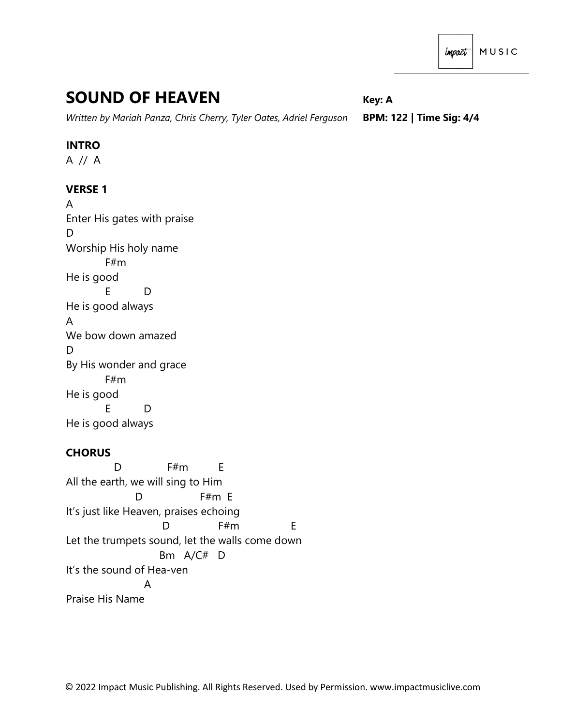# **SOUND OF HEAVEN** *Key: A*

*Written by Mariah Panza, Chris Cherry, Tyler Oates, Adriel Ferguson* **BPM: 122 | Time Sig: 4/4**

## **INTRO**

A // A

# **VERSE 1**

A Enter His gates with praise D Worship His holy name F#m He is good E D He is good always A We bow down amazed D By His wonder and grace F#m He is good E D He is good always

# **CHORUS**

D F#m F All the earth, we will sing to Him D F#m E It's just like Heaven, praises echoing D F#m E Let the trumpets sound, let the walls come down Bm A/C# D It's the sound of Hea-ven A Praise His Name